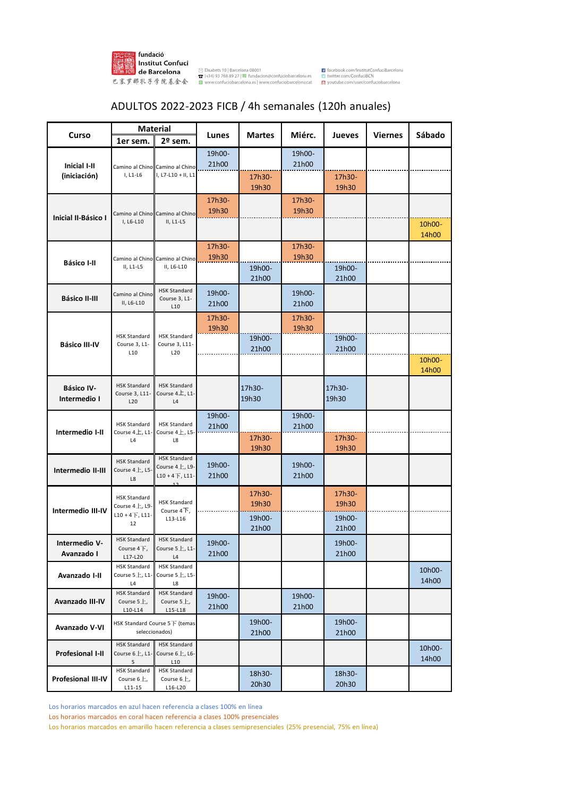

## ADULTOS 2022-2023 FICB / 4h semanales (120h anuales)

|                                     | <b>Material</b>                                |                                               |                 |               | Miérc.          | <b>Jueves</b> | <b>Viernes</b> | Sábado          |
|-------------------------------------|------------------------------------------------|-----------------------------------------------|-----------------|---------------|-----------------|---------------|----------------|-----------------|
| Curso                               | 1er sem.                                       | 2º sem.                                       | Lunes           | <b>Martes</b> |                 |               |                |                 |
|                                     |                                                |                                               | 19h00-          |               | 19h00-          |               |                |                 |
| <b>Inicial I-II</b><br>(iniciación) | $I, L1-L6$                                     | Camino al Chino Camino al Chino               | 21h00           |               | 21h00           |               |                |                 |
|                                     |                                                | I, L7-L10 + II, L1                            |                 | 17h30-        |                 | 17h30-        |                |                 |
|                                     |                                                |                                               |                 | 19h30         |                 | 19h30         |                |                 |
|                                     |                                                | Camino al Chino Camino al Chino<br>II, L1-L5  | 17h30-          |               | 17h30-          |               |                |                 |
| <b>Inicial II-Básico I</b>          |                                                |                                               | 19h30           |               | 19h30           |               |                |                 |
|                                     | I, L6-L10                                      |                                               |                 |               |                 |               |                | 10h00-          |
|                                     |                                                |                                               |                 |               |                 |               |                | 14h00           |
| <b>Básico I-II</b>                  | II, L1-L5                                      | Camino al Chino Camino al Chino<br>II, L6-L10 | 17h30-<br>19h30 |               | 17h30-<br>19h30 |               |                |                 |
|                                     |                                                |                                               |                 | 19h00-        |                 | 19h00-        |                |                 |
|                                     |                                                |                                               |                 | 21h00         |                 | 21h00         |                |                 |
|                                     | Camino al Chino                                | <b>HSK Standard</b>                           | 19h00-          |               | 19h00-          |               |                |                 |
| <b>Básico II-III</b>                | II, L6-L10                                     | Course 3, L1-<br>L10                          | 21h00           |               | 21h00           |               |                |                 |
|                                     |                                                |                                               | 17h30-          |               | 17h30-          |               |                |                 |
|                                     | <b>HSK Standard</b><br>Course 3, L1-           | <b>HSK Standard</b><br>Course 3, L11-<br>L20  | 19h30           |               | 19h30           |               |                |                 |
| <b>Básico III-IV</b>                |                                                |                                               |                 | 19h00-        |                 | 19h00-        |                |                 |
|                                     | L10                                            |                                               |                 | 21h00         |                 | 21h00         |                |                 |
|                                     |                                                |                                               |                 |               |                 |               |                | 10h00-          |
|                                     |                                                |                                               |                 |               |                 |               |                | 14h00           |
| <b>Básico IV-</b>                   | <b>HSK Standard</b><br>Course 3, L11-          | <b>HSK Standard</b><br>Course 4 $\pm$ , L1-   |                 | 17h30-        |                 | 17h30-        |                |                 |
| Intermedio I                        | L20                                            | $\mathsf{L}4$                                 |                 | 19h30         |                 | 19h30         |                |                 |
|                                     | <b>HSK Standard</b><br>Course $4L$ , L1.<br>L4 | <b>HSK Standard</b><br>Course $4L$ , L5<br>L8 | 19h00-          |               | 19h00-          |               |                |                 |
|                                     |                                                |                                               | 21h00           |               | 21h00           |               |                |                 |
| Intermedio I-II                     |                                                |                                               |                 | 17h30-        |                 | 17h30-        |                |                 |
|                                     |                                                |                                               |                 | 19h30         |                 | 19h30         |                |                 |
|                                     | <b>HSK Standard</b>                            | <b>HSK Standard</b><br>Course $4L$ , L9-      | 19h00-          |               | 19h00-          |               |                |                 |
| Intermedio II-III                   | Course 4上, L5-<br>$\mathsf{L}\mathsf{8}$       | $L10 + 4$ 下, L11-                             | 21h00           |               | 21h00           |               |                |                 |
|                                     |                                                | 12                                            |                 | 17h30-        |                 | 17h30-        |                |                 |
|                                     | <b>HSK Standard</b><br>Course 4上, L9-          | <b>HSK Standard</b>                           |                 | 19h30         |                 | 19h30         |                |                 |
| Intermedio III-IV                   | $L10 + 4 + L11$<br>12                          | Course $4+$ ,<br>L13-L16                      |                 | 19h00-        |                 | 19h00-        |                |                 |
|                                     |                                                |                                               |                 | 21h00         |                 | 21h00         |                |                 |
| Intermedio V-                       | <b>HSK Standard</b>                            | <b>HSK Standard</b>                           | 19h00-          |               |                 | 19h00-        |                |                 |
| Avanzado I                          | Course 4下,                                     | Course 5上, L1                                 | 21h00           |               |                 | 21h00         |                |                 |
|                                     | L17-L20<br><b>HSK Standard</b>                 | L4<br><b>HSK Standard</b>                     |                 |               |                 |               |                |                 |
| Avanzado I-II                       | Course $5L$ , L1-                              | Course 5上, L5-                                |                 |               |                 |               |                | 10h00-<br>14h00 |
|                                     | L4<br><b>HSK Standard</b>                      | L8<br><b>HSK Standard</b>                     |                 |               |                 |               |                |                 |
| Avanzado III-IV                     | Course $5L$ ,                                  | Course $5L$ ,                                 | 19h00-          |               | 19h00-          |               |                |                 |
|                                     | $L10-L14$                                      | $L15-L18$                                     | 21h00           |               | 21h00           |               |                |                 |
| Avanzado V-VI                       |                                                | HSK Standard Course 5下 (temas                 |                 | 19h00-        |                 | 19h00-        |                |                 |
|                                     |                                                | seleccionados)                                |                 | 21h00         |                 | 21h00         |                |                 |
| <b>Profesional I-II</b>             | <b>HSK Standard</b><br>Course 6上, L1-          | <b>HSK Standard</b><br>Course 6上, L6-         |                 |               |                 |               |                | 10h00-          |
|                                     | 5                                              | L10                                           |                 |               |                 |               |                | 14h00           |
| Profesional III-IV                  | <b>HSK Standard</b><br>Course $6L$ ,           | <b>HSK Standard</b><br>Course $6L$ ,          |                 | 18h30-        |                 | 18h30-        |                |                 |
|                                     | $L11 - 15$                                     | L16-L20                                       |                 | 20h30         |                 | 20h30         |                |                 |

Los horarios marcados en azul hacen referencia a clases 100% en línea

Los horarios marcados en coral hacen referencia a clases 100% presenciales

Los horarios marcados en amarillo hacen referencia a clases semipresenciales (25% presencial, 75% en línea)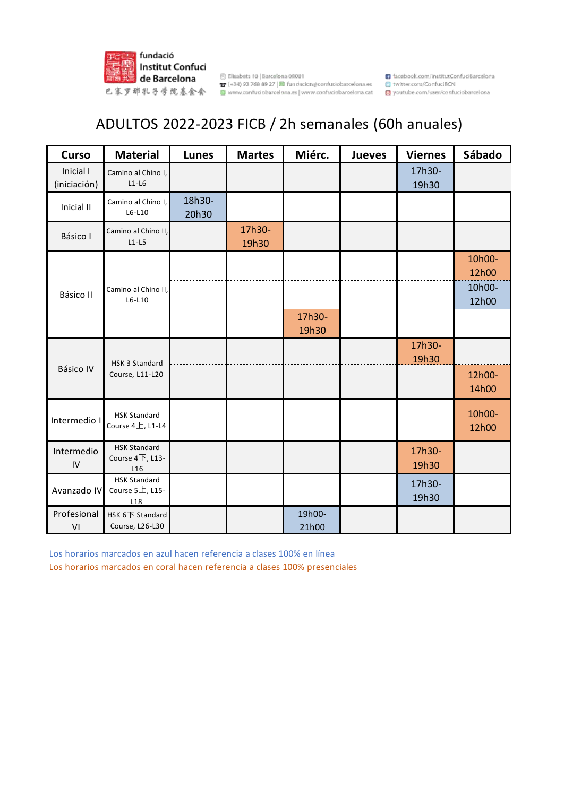

## ADULTOS 2022-2023 FICB / 2h semanales (60h anuales)

| <b>Curso</b>                                                             | <b>Material</b>                                           | <b>Lunes</b>    | <b>Martes</b>   | Miérc.          | <b>Jueves</b> | <b>Viernes</b>  | Sábado          |
|--------------------------------------------------------------------------|-----------------------------------------------------------|-----------------|-----------------|-----------------|---------------|-----------------|-----------------|
| Inicial I<br>(iniciación)                                                | Camino al Chino I,<br>$L1-L6$                             |                 |                 |                 |               | 17h30-<br>19h30 |                 |
| Inicial II                                                               | Camino al Chino I,<br>$L6-L10$                            | 18h30-<br>20h30 |                 |                 |               |                 |                 |
| Básico I                                                                 | Camino al Chino II,<br>$L1-L5$                            |                 | 17h30-<br>19h30 |                 |               |                 |                 |
| Camino al Chino II,<br>Básico II<br>$L6-L10$                             |                                                           |                 |                 |                 |               |                 | 10h00-<br>12h00 |
|                                                                          |                                                           |                 |                 |                 |               |                 | 10h00-<br>12h00 |
|                                                                          |                                                           |                 | 17h30-<br>19h30 |                 |               |                 |                 |
| 17h30-<br>19h30<br>HSK 3 Standard<br><b>Básico IV</b><br>Course, L11-L20 |                                                           |                 |                 |                 |               |                 |                 |
|                                                                          |                                                           | 12h00-<br>14h00 |                 |                 |               |                 |                 |
| Intermedio I                                                             | <b>HSK Standard</b><br>Course 4上, L1-L4                   |                 |                 |                 |               |                 | 10h00-<br>12h00 |
| Intermedio<br>${\sf IV}$                                                 | <b>HSK Standard</b><br>Course 4下, L13-<br>L <sub>16</sub> |                 |                 |                 |               | 17h30-<br>19h30 |                 |
| Avanzado IV                                                              | <b>HSK Standard</b><br>Course 5上, L15-<br>L18             |                 |                 |                 |               | 17h30-<br>19h30 |                 |
| Profesional<br>$\mathsf{VI}$                                             | HSK 6下 Standard<br>Course, L26-L30                        |                 |                 | 19h00-<br>21h00 |               |                 |                 |

Los horarios marcados en azul hacen referencia a clases 100% en línea

Los horarios marcados en coral hacen referencia a clases 100% presenciales